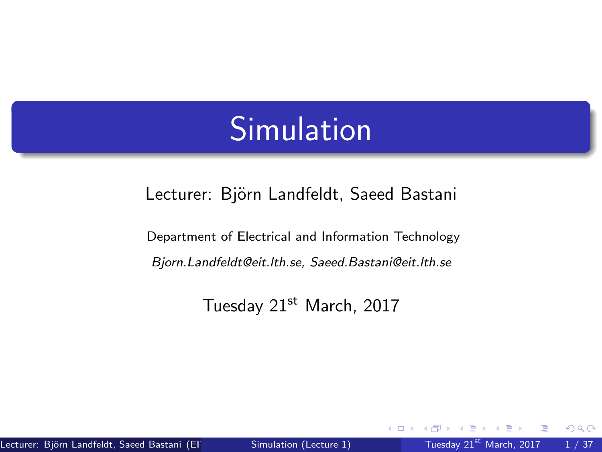### **Simulation**

<span id="page-0-0"></span>Lecturer: Björn Landfeldt, Saeed Bastani

Department of Electrical and Information Technology Bjorn.Landfeldt@eit.lth.se, Saeed.Bastani@eit.lth.se

Tuesday 21st March, 2017

 $QQ$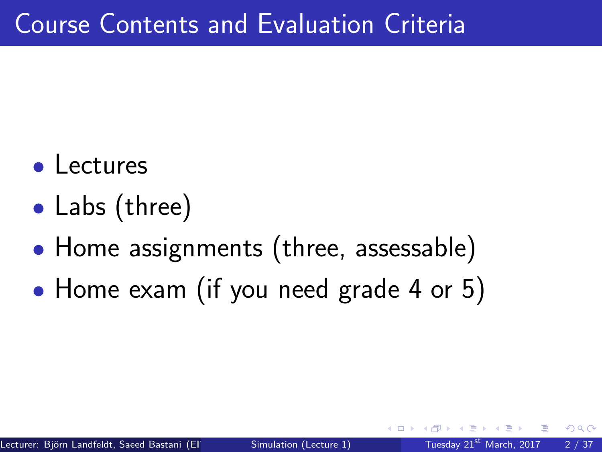- Lectures
- Labs (three)
- Home assignments (three, assessable)
- Home exam (if you need grade 4 or 5)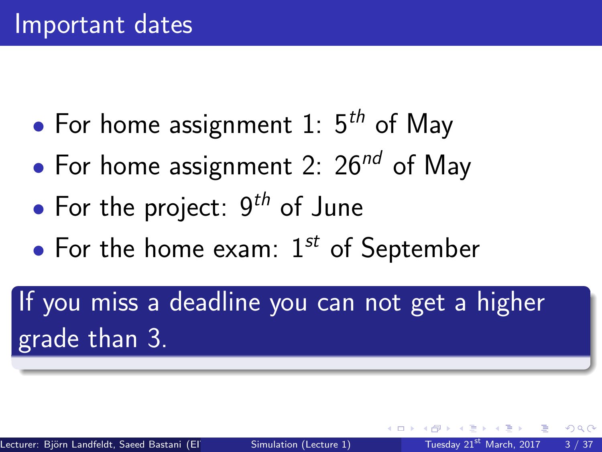- For home assignment 1:  $5<sup>th</sup>$  of May
- For home assignment 2:  $26^{nd}$  of May
- For the project:  $9<sup>th</sup>$  of June
- For the home exam:  $1^{st}$  of September

If you miss a deadline you can not get a higher grade than 3.

 $\Omega$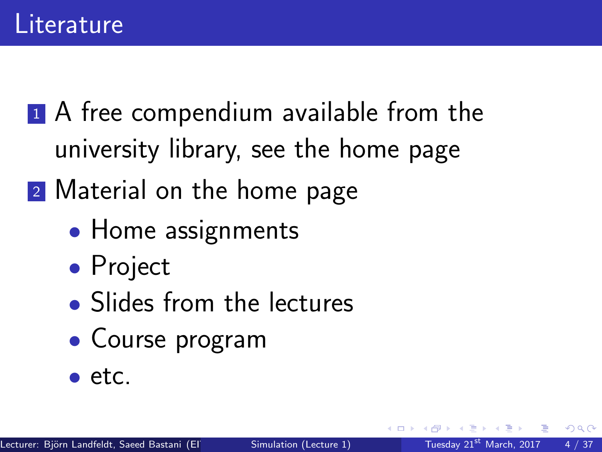- <sup>1</sup> A free compendium available from the university library, see the home page
- <sup>2</sup> Material on the home page
	- Home assignments
	- Project
	- Slides from the lectures
	- Course program
	- etc.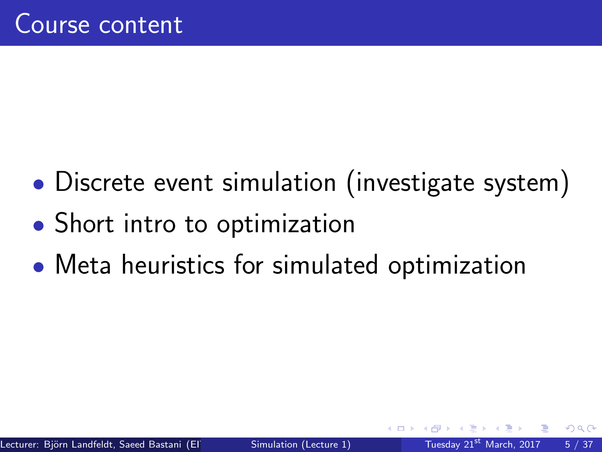- Discrete event simulation (investigate system)
- Short intro to optimization
- Meta heuristics for simulated optimization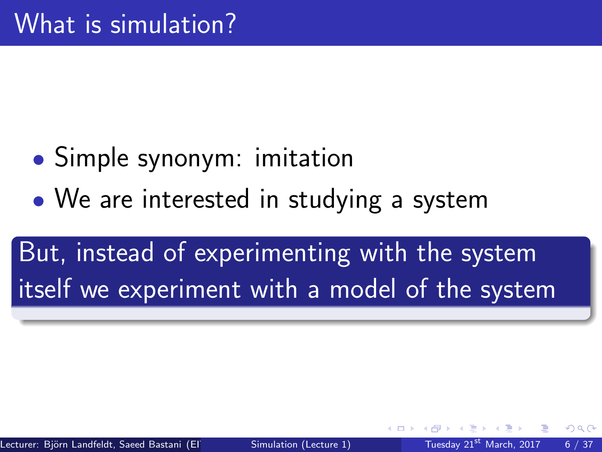- Simple synonym: imitation
- We are interested in studying a system

But, instead of experimenting with the system itself we experiment with a model of the system

つひひ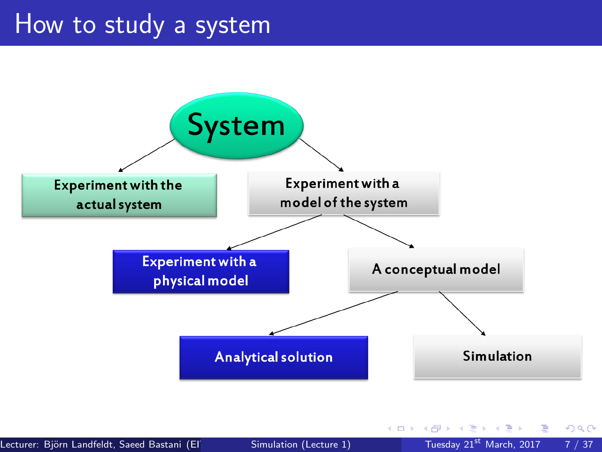#### How to study a system



Lecturer: Björn Landfeldt, Saeed Bastani (EIT) [Simulation \(Lecture 1\)](#page-0-0) Tuesday 21st March, 2017 7 / 37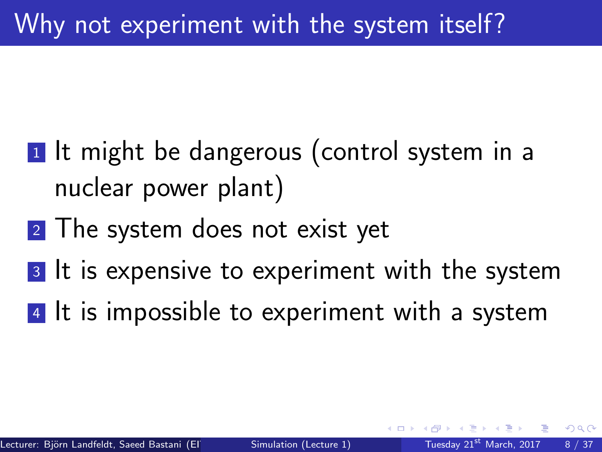- <span id="page-7-0"></span>**1** It might be dangerous (control system in a nuclear power plant)
- 2 The system does not exist yet
- 3 It is expensive to experiment with the system
- 4 It is impossible to experiment with a system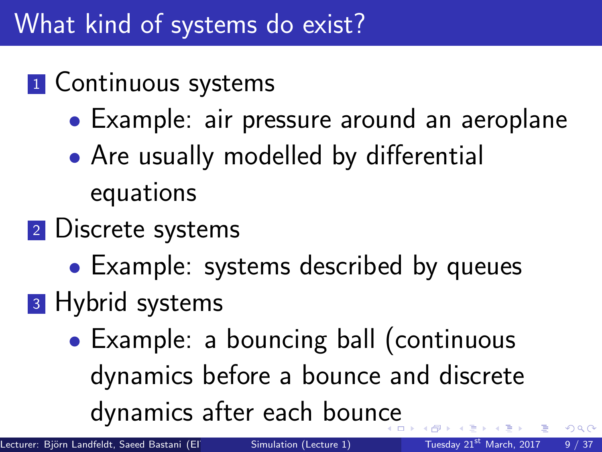#### What kind of systems do exist?

#### **1** Continuous systems

- Example: air pressure around an aeroplane
- Are usually modelled by differential equations
- 2 Discrete systems
	- Example: systems described by queues
- **3** Hybrid systems
	- Example: a bouncing ball (continuous dynamics before a bounce and discrete dynamics after each boun[ce](#page-7-0)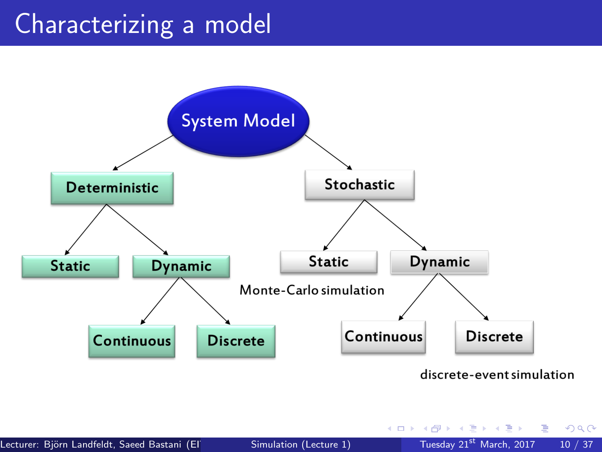#### Characterizing a model



 $299$ 

目

 $\triangleright$   $\rightarrow$   $\exists$   $\rightarrow$ 

4 0 8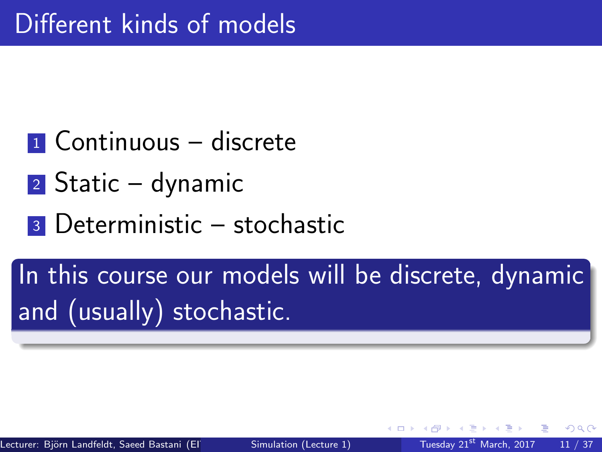- $\blacksquare$  Continuous discrete
- $2$  Static dynamic
- <sup>3</sup> Deterministic stochastic

In this course our models will be discrete, dynamic and (usually) stochastic.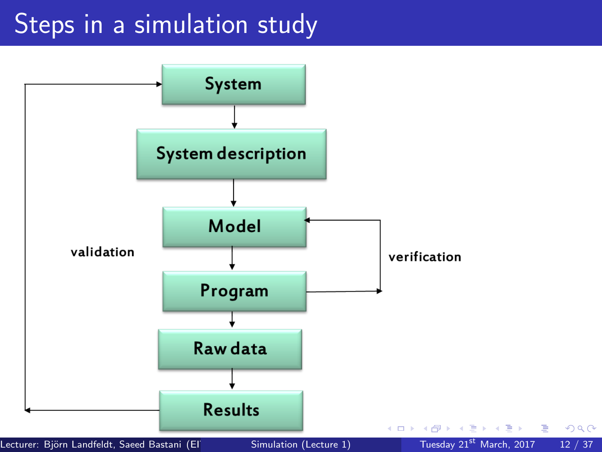#### Steps in a simulation study

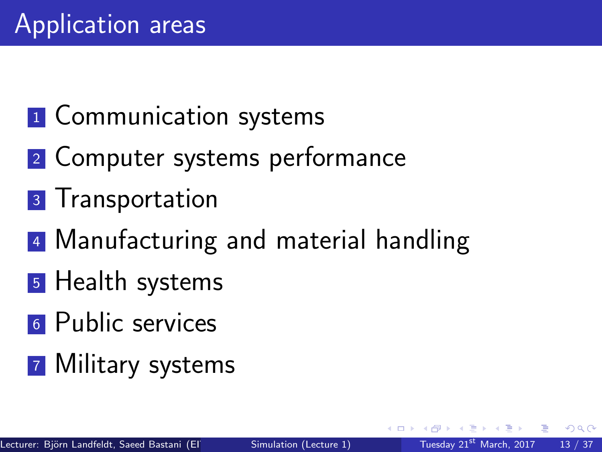### **1** Communication systems

- <sup>2</sup> Computer systems performance
- **3** Transportation
- 4 Manufacturing and material handling
- **5** Health systems
- **6** Public services
- **7 Military systems**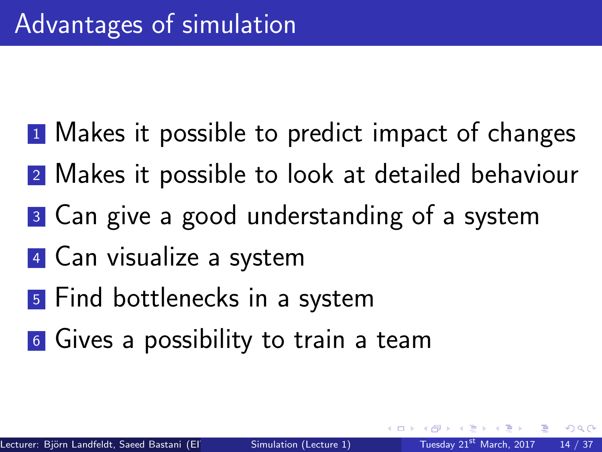- **1** Makes it possible to predict impact of changes
- <sup>2</sup> Makes it possible to look at detailed behaviour
- <sup>3</sup> Can give a good understanding of a system
- <sup>4</sup> Can visualize a system
- <sup>5</sup> Find bottlenecks in a system
- **6** Gives a possibility to train a team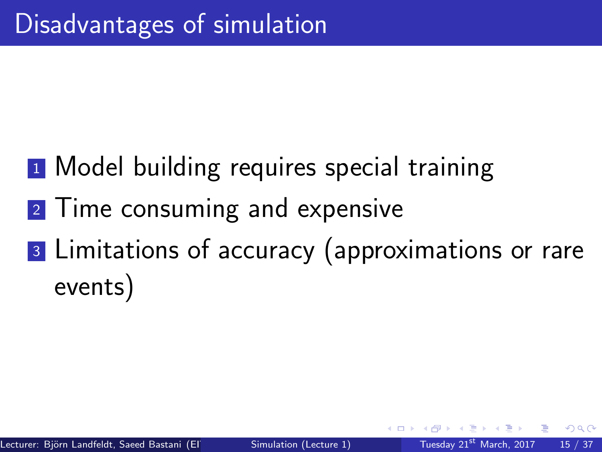- **1** Model building requires special training
- 2 Time consuming and expensive
- <sup>3</sup> Limitations of accuracy (approximations or rare events)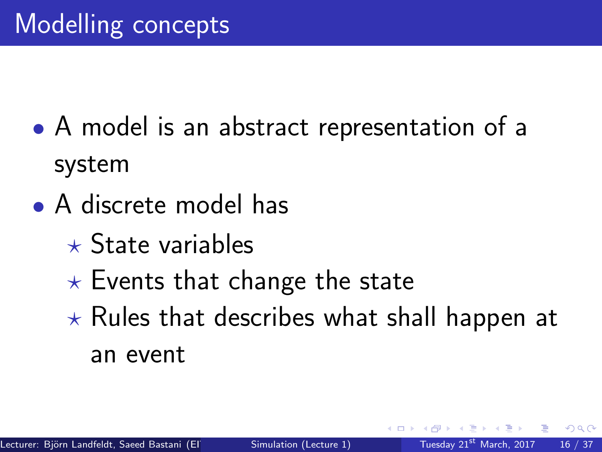- A model is an abstract representation of a system
- A discrete model has
	- $\star$  State variables
	- $\star$  Events that change the state
	- $\star$  Rules that describes what shall happen at an event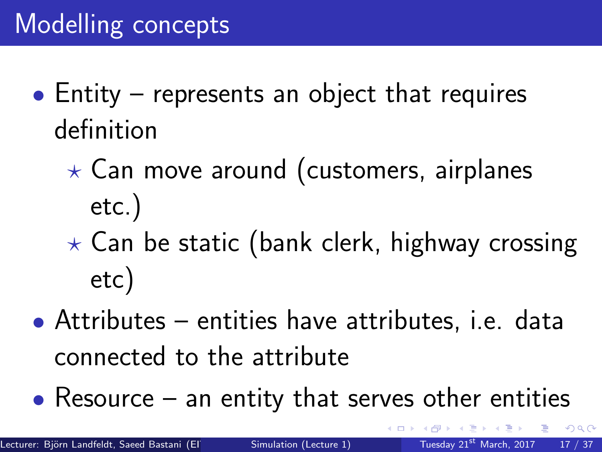- Entity represents an object that requires definition
	- $\star$  Can move around (customers, airplanes etc.)
	- $\star$  Can be static (bank clerk, highway crossing etc)
- Attributes entities have attributes, i.e. data connected to the attribute
- Resource  $-$  an entity that serves other entities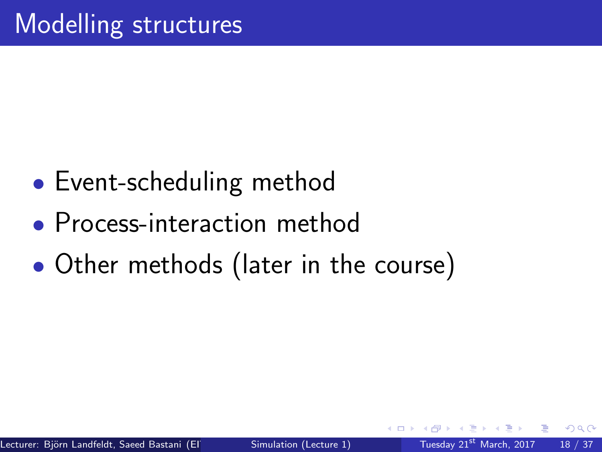- Event-scheduling method
- Process-interaction method
- Other methods (later in the course)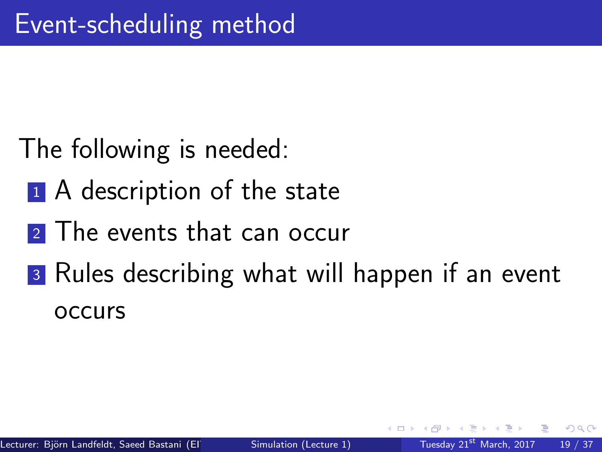- The following is needed:
	- <sup>1</sup> A description of the state
	- 2 The events that can occur
	- **3** Rules describing what will happen if an event occurs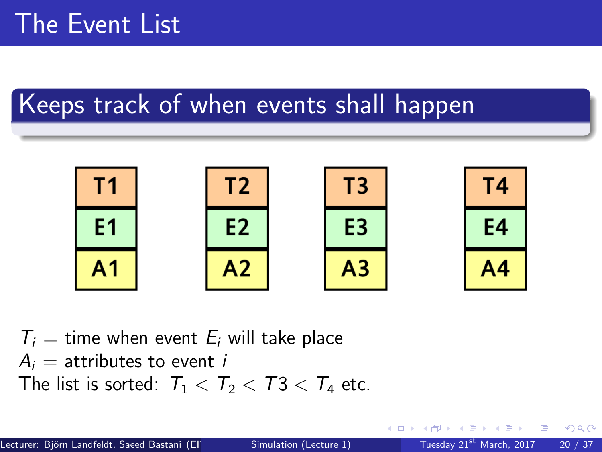#### Keeps track of when events shall happen



 $T_i$  = time when event  $E_i$  will take place  $A_i$  = attributes to event *i* The list is sorted:  $T_1 < T_2 < T_3 < T_4$  etc.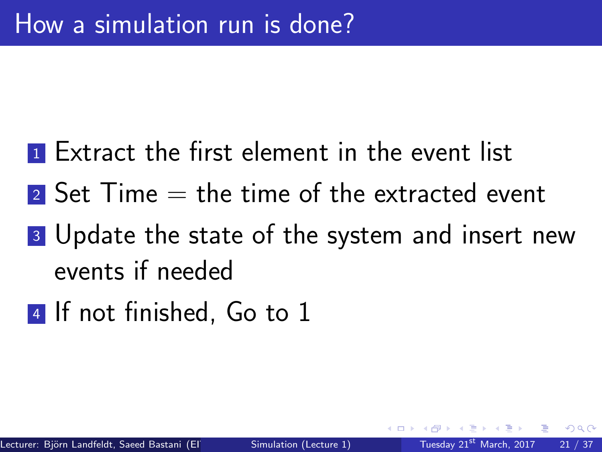- **1** Extract the first element in the event list
- $\blacksquare$  Set Time  $=$  the time of the extracted event
- **3** Update the state of the system and insert new events if needed
- **4** If not finished, Go to 1

 $\Omega$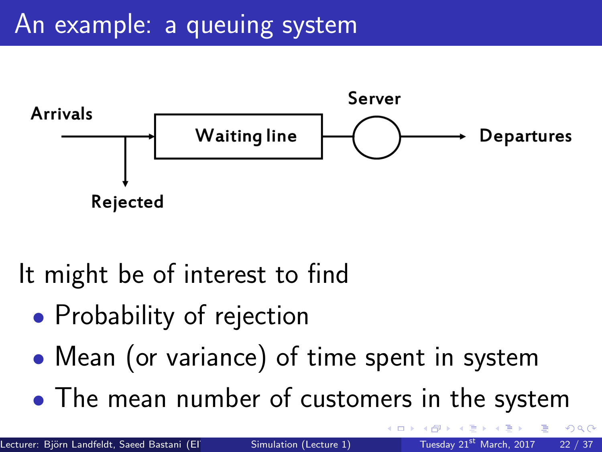### An example: a queuing system



It might be of interest to find

- Probability of rejection
- Mean (or variance) of time spent in system
- The mean number of customers in the system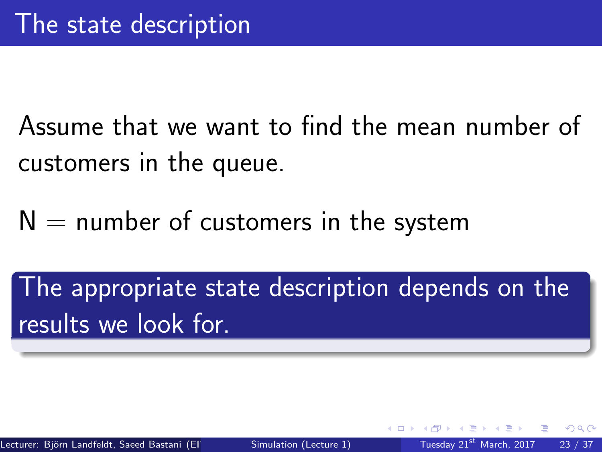Assume that we want to find the mean number of customers in the queue.

 $N =$  number of customers in the system

The appropriate state description depends on the results we look for

つひい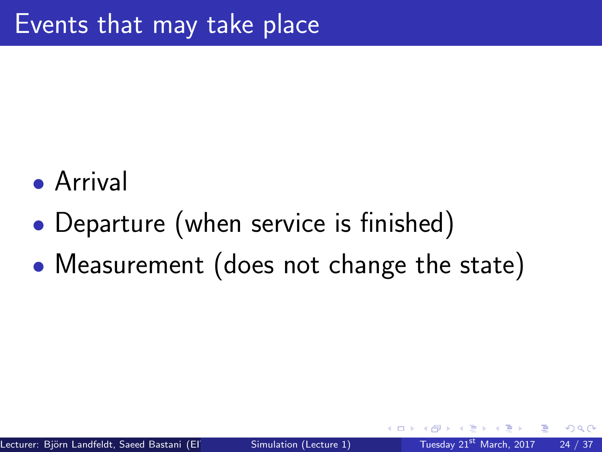- Arrival
- Departure (when service is finished)
- Measurement (does not change the state)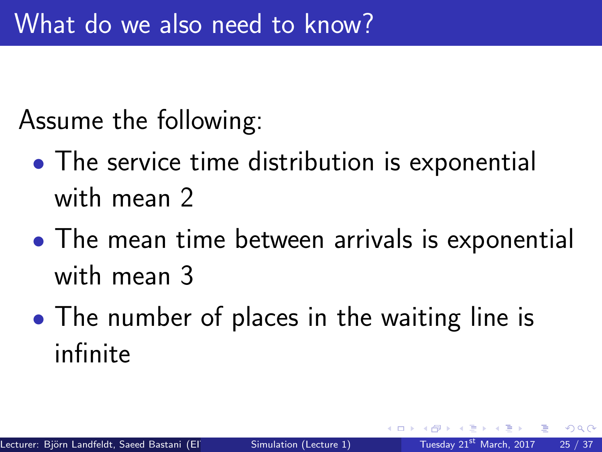Assume the following:

- The service time distribution is exponential with mean 2
- The mean time between arrivals is exponential with mean 3
- The number of places in the waiting line is infinite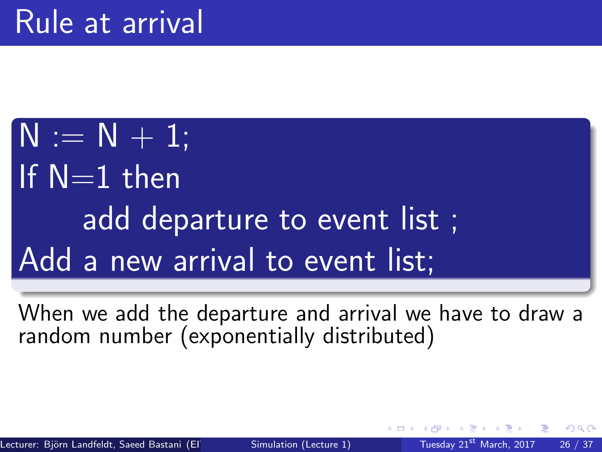$N := N + 1$ ; If  $N=1$  then add departure to event list ; Add a new arrival to event list;

When we add the departure and arrival we have to draw a random number (exponentially distributed)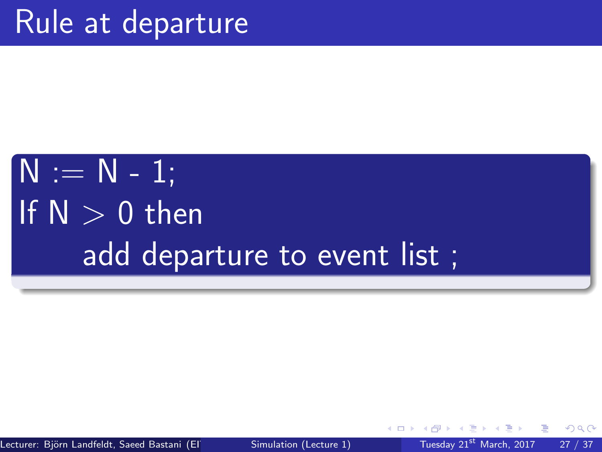# $N := N - 1;$ If  $N > 0$  then add departure to event list ;

Lecturer: Björn Landfeldt, Saeed Bastani (EIT) [Simulation \(Lecture 1\)](#page-0-0) Tuesday 21st March, 2017 27 / 37

 $\Omega$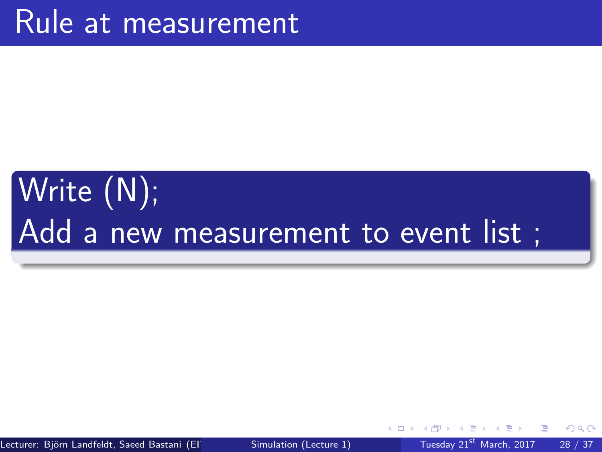# Write (N); Add a new measurement to event list ;

Lecturer: Biörn Landfeldt, Saeed Bastani (EIT) [Simulation \(Lecture 1\)](#page-0-0) Tuesday 21st March, 2017 28 / 37

 $QQ$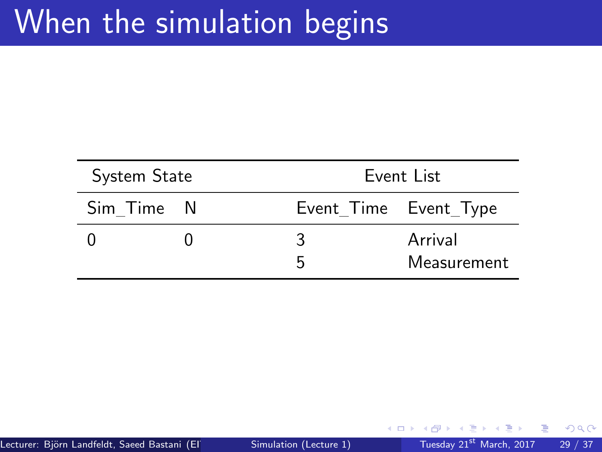# When the simulation begins

| System State |  | Event List            |                        |
|--------------|--|-----------------------|------------------------|
| Sim Time N   |  | Event Time Event Type |                        |
|              |  | 2<br>5                | Arrival<br>Measurement |

ミメスミメ

**K ロ ▶ K 何 ▶** 

活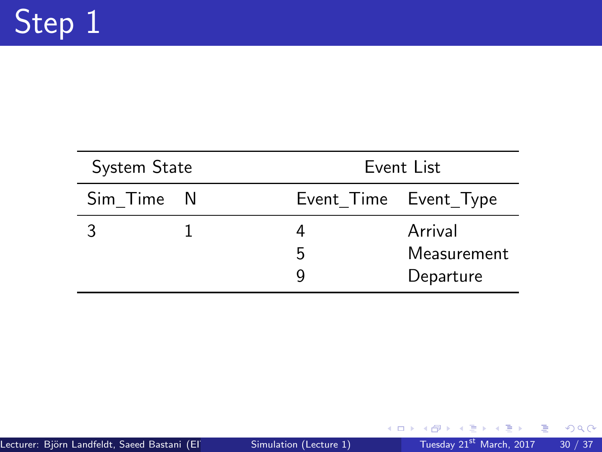| System State |  | Event List            |             |
|--------------|--|-----------------------|-------------|
| Sim Time N   |  | Event_Time Event_Type |             |
|              |  |                       | Arrival     |
|              |  | 5                     | Measurement |
|              |  |                       | Departure   |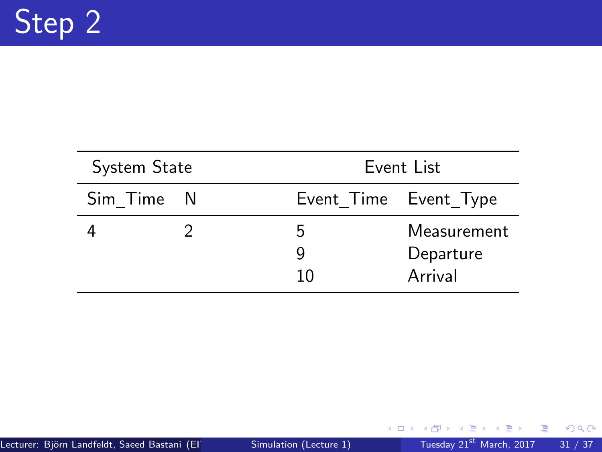| System State |  | Event List            |                                     |
|--------------|--|-----------------------|-------------------------------------|
| Sim Time N   |  | Event_Time Event_Type |                                     |
|              |  | h<br>q<br>10          | Measurement<br>Departure<br>Arrival |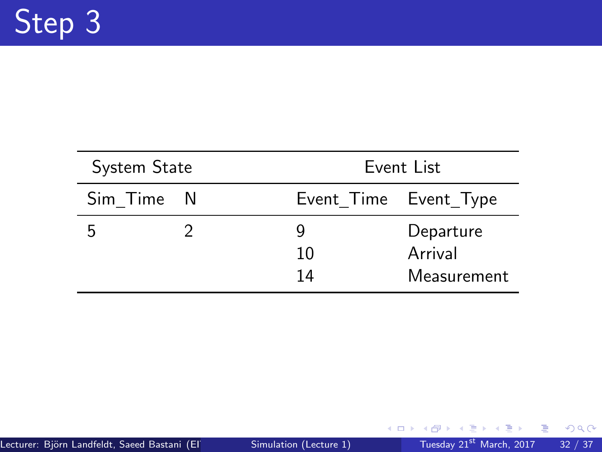| System State |  | Event List            |                      |
|--------------|--|-----------------------|----------------------|
| Sim Time N   |  | Event_Time Event_Type |                      |
| h            |  | 10                    | Departure<br>Arrival |
|              |  | 14                    | Measurement          |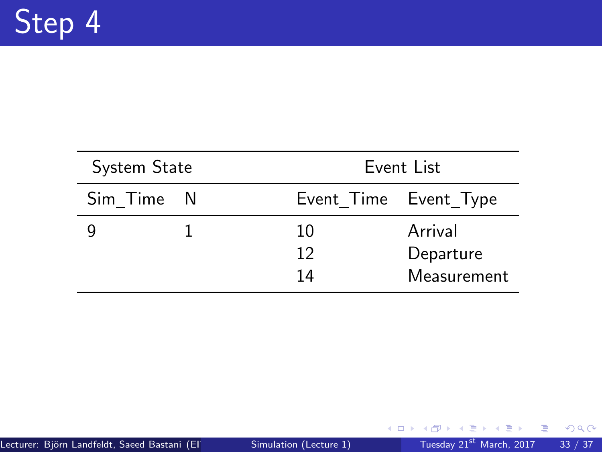| System State |  | Event List            |             |
|--------------|--|-----------------------|-------------|
| Sim Time N   |  | Event_Time Event_Type |             |
|              |  | 10                    | Arrival     |
|              |  | 12                    | Departure   |
|              |  | 14                    | Measurement |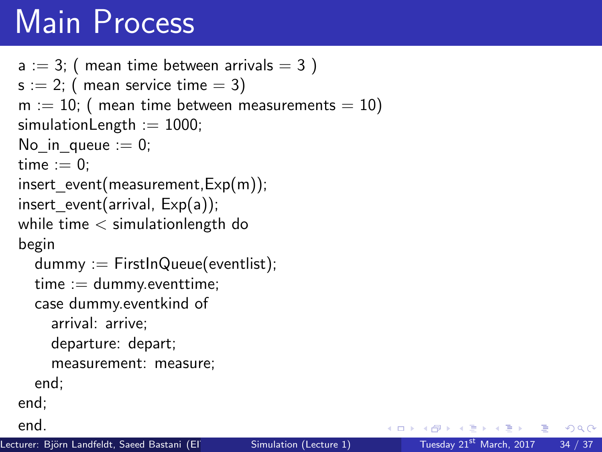# Main Process

```
a := 3; ( mean time between arrivals = 3)
s := 2; ( mean service time = 3)
m := 10; (mean time between measurements = 10)
simulationLength := 1000;
No in queue := 0;
time := 0:
insert event(measurement,Exp(m));
insert\_event(arrival, Exp(a));while time < simulationlength do
begin
  dummy := FirstInQueue(eventlist);
  time := dummy.eventtime;
  case dummy.eventkind of
    arrival: arrive;
    departure: depart;
    measurement: measure;
  end;
end;
end.
```
경제 세종에 있을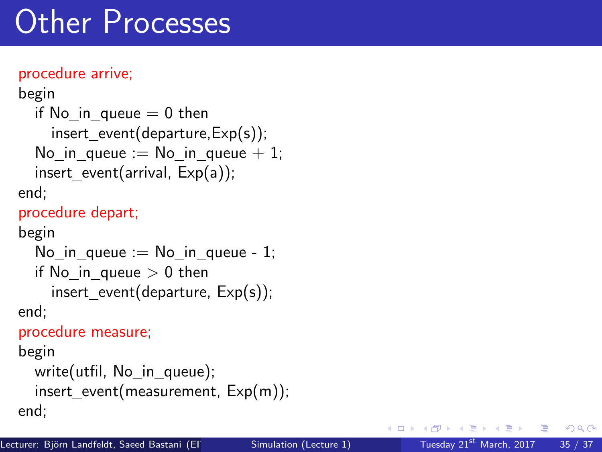# Other Processes

#### procedure arrive;

```
begin
  if No in queue = 0 then
    insert event(departure,Exp(s));
  No in queue := No in queue +1;
  insert event(arrival, Exp(a));
end;
procedure depart;
begin
  No in queue := No in queue - 1;
  if No in queue > 0 then
    insert event(departure, Exp(s));
end;
procedure measure;
begin
  write(utfil, No in queue);
  insert event(measurement, Exp(m));
end;
```
おうす 語のあ

 $QQ$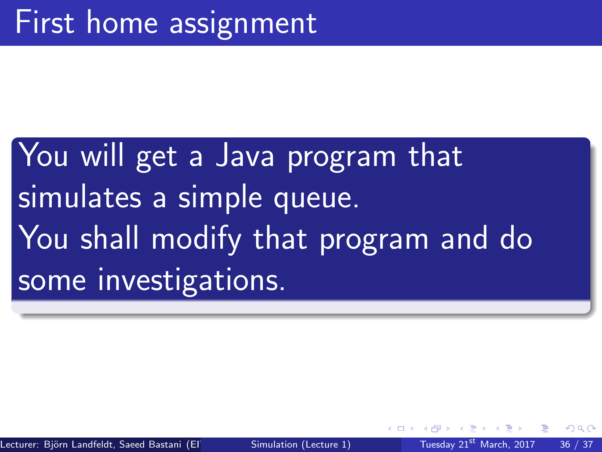# You will get a Java program that simulates a simple queue. You shall modify that program and do some investigations.